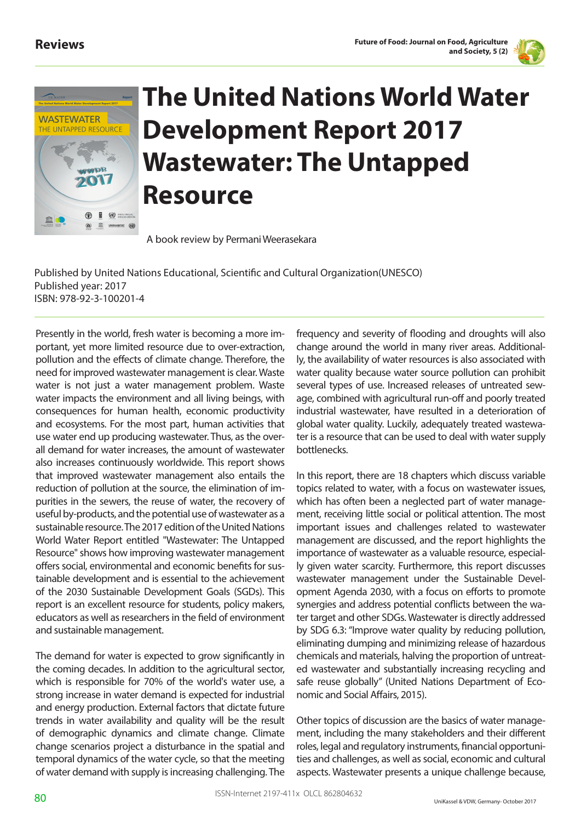



## **The United Nations World Water Development Report 2017 Wastewater: The Untapped Resource**

A book review by Permani Weerasekara

Published by United Nations Educational, Scientific and Cultural Organization(UNESCO) Published year: 2017 ISBN: 978-92-3-100201-4

Presently in the world, fresh water is becoming a more important, yet more limited resource due to over-extraction, pollution and the effects of climate change. Therefore, the need for improved wastewater management is clear. Waste water is not just a water management problem. Waste water impacts the environment and all living beings, with consequences for human health, economic productivity and ecosystems. For the most part, human activities that use water end up producing wastewater. Thus, as the overall demand for water increases, the amount of wastewater also increases continuously worldwide. This report shows that improved wastewater management also entails the reduction of pollution at the source, the elimination of impurities in the sewers, the reuse of water, the recovery of useful by-products, and the potential use of wastewater as a sustainable resource. The 2017 edition of the United Nations World Water Report entitled "Wastewater: The Untapped Resource" shows how improving wastewater management offers social, environmental and economic benefits for sustainable development and is essential to the achievement of the 2030 Sustainable Development Goals (SGDs). This report is an excellent resource for students, policy makers, educators as well as researchers in the field of environment and sustainable management.

The demand for water is expected to grow significantly in the coming decades. In addition to the agricultural sector, which is responsible for 70% of the world's water use, a strong increase in water demand is expected for industrial and energy production. External factors that dictate future trends in water availability and quality will be the result of demographic dynamics and climate change. Climate change scenarios project a disturbance in the spatial and temporal dynamics of the water cycle, so that the meeting of water demand with supply is increasing challenging. The

frequency and severity of flooding and droughts will also change around the world in many river areas. Additionally, the availability of water resources is also associated with water quality because water source pollution can prohibit several types of use. Increased releases of untreated sewage, combined with agricultural run-off and poorly treated industrial wastewater, have resulted in a deterioration of global water quality. Luckily, adequately treated wastewater is a resource that can be used to deal with water supply bottlenecks.

In this report, there are 18 chapters which discuss variable topics related to water, with a focus on wastewater issues, which has often been a neglected part of water management, receiving little social or political attention. The most important issues and challenges related to wastewater management are discussed, and the report highlights the importance of wastewater as a valuable resource, especially given water scarcity. Furthermore, this report discusses wastewater management under the Sustainable Development Agenda 2030, with a focus on efforts to promote synergies and address potential conflicts between the water target and other SDGs. Wastewater is directly addressed by SDG 6.3: "Improve water quality by reducing pollution, eliminating dumping and minimizing release of hazardous chemicals and materials, halving the proportion of untreated wastewater and substantially increasing recycling and safe reuse globally" (United Nations Department of Economic and Social Affairs, 2015).

Other topics of discussion are the basics of water management, including the many stakeholders and their different roles, legal and regulatory instruments, financial opportunities and challenges, as well as social, economic and cultural aspects. Wastewater presents a unique challenge because,